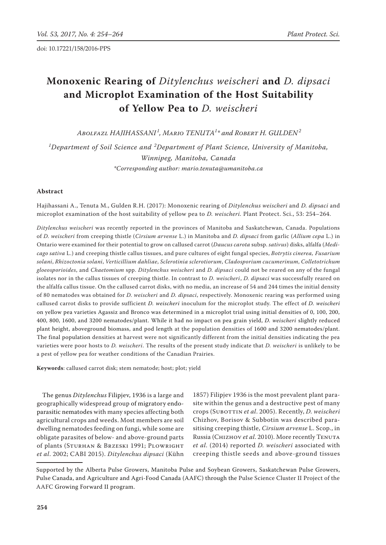# **Monoxenic Rearing of** *Ditylenchus weischeri* **and** *D. dipsaci* **and Microplot Examination of the Host Suitability of Yellow Pea to** *D. weischeri*

 *Abolfazl Hajihassani <sup>1</sup> , Mario Tenuta<sup>1</sup> \* and Robert H. Gulden<sup>2</sup>*

*1 Department of Soil Science and <sup>2</sup> Department of Plant Science, University of Manitoba, Winnipeg, Manitoba, Canada \*Corresponding author: mario.tenuta@umanitoba.ca*

## **Abstract**

Hajihassani A., Tenuta M., Gulden R.H. (2017): Monoxenic rearing of *Ditylenchus weischeri* and *D. dipsaci* and microplot examination of the host suitability of yellow pea to *D. weischeri.* Plant Protect. Sci., 53: 254–264.

*Ditylenchus weischeri* was recently reported in the provinces of Manitoba and Saskatchewan, Canada. Populations of *D. weischeri* from creeping thistle (*Cirsium arvense* L.) in Manitoba and *D. dipsaci* from garlic (*Allium cepa* L.) in Ontario were examined for their potential to grow on callused carrot (*Daucus carota* subsp. *sativus*) disks, alfalfa (*Medicago sativa* L.) and creeping thistle callus tissues, and pure cultures of eight fungal species, *Botrytis cinerea, Fusarium solani*, *Rhizoctonia solani*, *Verticillium dahliae*, *Sclerotinia sclerotiorum*, *Cladosporium cucumerinum*, *Colletotrichum gloeosporioides*, and *Chaetomium* spp. *Ditylenchus weischeri* and *D. dipsaci* could not be reared on any of the fungal isolates nor in the callus tissues of creeping thistle. In contrast to *D. weischeri*, *D. dipsaci* was successfully reared on the alfalfa callus tissue. On the callused carrot disks, with no media, an increase of 54 and 244 times the initial density of 80 nematodes was obtained for *D. weischeri* and *D. dipsaci*, respectively. Monoxenic rearing was performed using callused carrot disks to provide sufficient *D. weischeri* inoculum for the microplot study. The effect of *D. weischeri* on yellow pea varieties Agassiz and Bronco was determined in a microplot trial using initial densities of 0, 100, 200, 400, 800, 1600, and 3200 nematodes/plant. While it had no impact on pea grain yield, *D. weischeri* slightly reduced plant height, aboveground biomass, and pod length at the population densities of 1600 and 3200 nematodes/plant. The final population densities at harvest were not significantly different from the initial densities indicating the pea varieties were poor hosts to *D. weischeri*. The results of the present study indicate that *D. weischeri* is unlikely to be a pest of yellow pea for weather conditions of the Canadian Prairies.

**Keywords**: callused carrot disk; stem nematode; host; plot; yield

The genus *Ditylenchus* Filipjev, 1936 is a large and geographically widespread group of migratory endoparasitic nematodes with many species affecting both agricultural crops and weeds. Most members are soil dwelling nematodes feeding on fungi, while some are obligate parasites of below- and above-ground parts of plants (Sturhan & Brzeski 1991; Plowright *et al*. 2002; CABI 2015). *Ditylenchus dipsaci* (Kühn

1857) Filipjev 1936 is the most prevalent plant parasite within the genus and a destructive pest of many crops (Subottin *et al*. 2005). Recently, *D. weischeri* Chizhov, Borisov & Subbotin was described parasitising creeping thistle, *Cirsium arvense* L. Scop., in Russia (Chizhov *et al*. 2010). More recently Tenuta *et al*. (2014) reported *D. weischeri* associated with creeping thistle seeds and above-ground tissues

Supported by the Alberta Pulse Growers, Manitoba Pulse and Soybean Growers, Saskatchewan Pulse Growers, Pulse Canada, and Agriculture and Agri-Food Canada (AAFC) through the Pulse Science Cluster II Project of the AAFC Growing Forward II program.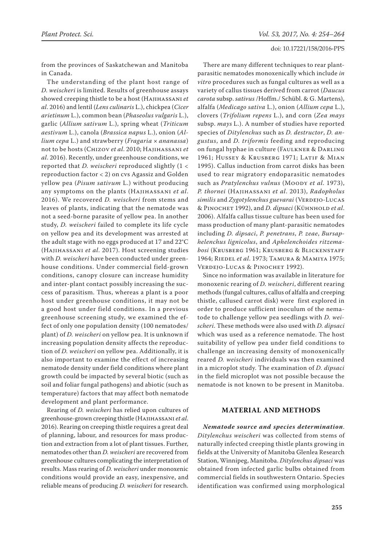from the provinces of Saskatchewan and Manitoba in Canada.

The understanding of the plant host range of *D. weischeri* is limited. Results of greenhouse assays showed creeping thistle to be a host (Hajihassani *et al*. 2016) and lentil (*Lens culinaris* L.), chickpea (*Cicer arietinum* L.), common bean (*Phaseolus vulgaris* L.), garlic (*Allium sativum* L.), spring wheat (*Triticum aestivum* L.), canola (*Brassica napus* L.), onion (*Allium cepa* L.) and strawberry (*Fragaria* × *ananassa*) not to be hosts (Chizov *et al*. 2010; Hajihassani *et al*. 2016). Recently, under greenhouse conditions, we reported that *D. weischeri* reproduced slightly (1 < reproduction factor < 2) on cvs Agassiz and Golden yellow pea (*Pisum sativum* L.) without producing any symptoms on the plants (Hajihassani *et al*. 2016). We recovered *D. weischeri* from stems and leaves of plants, indicating that the nematode was not a seed-borne parasite of yellow pea. In another study, *D. weischeri* failed to complete its life cycle on yellow pea and its development was arrested at the adult stage with no eggs produced at 17 and 22°C (Hajihassani *et al*. 2017). Host screening studies with *D. weischeri* have been conducted under greenhouse conditions. Under commercial field-grown conditions, canopy closure can increase humidity and inter-plant contact possibly increasing the success of parasitism. Thus, whereas a plant is a poor host under greenhouse conditions, it may not be a good host under field conditions. In a previous greenhouse screening study, we examined the effect of only one population density (100 nematodes/ plant) of *D. weischeri* on yellow pea. It is unknown if increasing population density affects the reproduction of *D. weischeri* on yellow pea. Additionally, it is also important to examine the effect of increasing nematode density under field conditions where plant growth could be impacted by several biotic (such as soil and foliar fungal pathogens) and abiotic (such as temperature) factors that may affect both nematode development and plant performance.

Rearing of *D. weischeri* has relied upon cultures of greenhouse-grown creeping thistle (Hajihassani *et al*. 2016). Rearing on creeping thistle requires a great deal of planning, labour, and resources for mass production and extraction from a lot of plant tissues. Further, nematodes other than *D. weischeri* are recovered from greenhouse cultures complicating the interpretation of results. Mass rearing of *D. weischeri* under monoxenic conditions would provide an easy, inexpensive, and reliable means of producing *D. weischeri* for research.

There are many different techniques to rear plantparasitic nematodes monoxenically which include *in vitro* procedures such as fungal cultures as well as a variety of callus tissues derived from carrot (*Daucus carota* subsp. *sativus* /Hoffm./ Schübl. & G. Martens), alfalfa (*Medicago sativa* L.), onion (*Allium cepa* L.), clovers (*Trifolium repens* L.), and corn (*Zea mays* subsp. *mays* L.). A number of studies have reported species of *Ditylenchus* such as *D. destructor*, *D. angustus*, and *D. triformis* feeding and reproducing on fungal hyphae in culture (Faulkner & Darling 1961; Hussey & Krusberg 1971; Latif & Mian 1995). Callus induction from carrot disks has been used to rear migratory endoparasitic nematodes such as *Pratylenchus vulnus* (Moody et al. 1973), *P. thornei* (Hajihassani *et al*. 2013), *Radopholus similis* and *Zygotylenchus guevarai* (VERDEJO-LUCAS & Pinochet 1992), and *D. dipsaci* (Kühnhold *et al*. 2006). Alfalfa callus tissue culture has been used for mass production of many plant-parasitic nematodes including *D. dipsaci*, *P. penetrans*, *P. zeae*, *Bursaphelenchus lignicolus*, and *Aphelenchoides ritzemabosi* (Krusberg 1961; Krusberg & Blickenstaff 1964; Riedel *et al*. 1973; Tamura & Mamiya 1975; VERDEJO-LUCAS & PINOCHET 1992).

Since no information was available in literature for monoxenic rearing of *D. weischeri*, different rearing methods (fungal cultures, callus of alfalfa and creeping thistle, callused carrot disk) were first explored in order to produce sufficient inoculum of the nematode to challenge yellow pea seedlings with *D. weischeri*. These methods were also used with *D. dipsaci* which was used as a reference nematode. The host suitability of yellow pea under field conditions to challenge an increasing density of monoxenically reared *D. weischeri* individuals was then examined in a microplot study. The examination of *D. dipsaci* in the field microplot was not possible because the nematode is not known to be present in Manitoba.

## **MATERIAL AND METHODS**

*Nematode source and species determination*. *Ditylenchus weischeri* was collected from stems of naturally infected creeping thistle plants growing in fields at the University of Manitoba Glenlea Research Station, Winnipeg, Manitoba. *Ditylenchus dipsaci* was obtained from infected garlic bulbs obtained from commercial fields in southwestern Ontario. Species identification was confirmed using morphological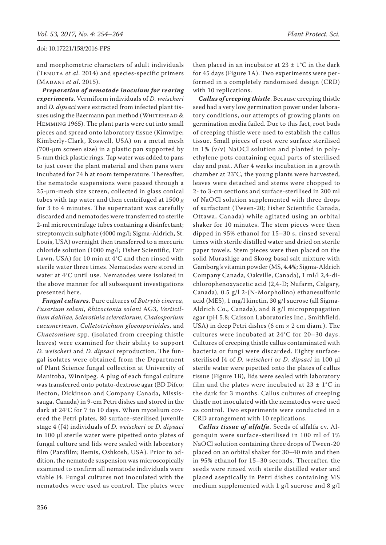and morphometric characters of adult individuals (Tenuta *et al*. 2014) and species-specific primers (Madani *et al*. 2015).

*Preparation of nematode inoculum for rearing experiments*. Vermiform individuals of *D. weischeri* and *D. dipsaci* were extracted from infected plant tissues using the Baermann pan method (WHITEHEAD & Hemming 1965). The plant parts were cut into small pieces and spread onto laboratory tissue (Kimwipe; Kimberly-Clark, Roswell, USA) on a metal mesh (700-µm screen size) in a plastic pan supported by 5-mm thick plastic rings. Tap water was added to pans to just cover the plant material and then pans were incubated for 74 h at room temperature. Thereafter, the nematode suspensions were passed through a 25-µm-mesh size screen, collected in glass conical tubes with tap water and then centrifuged at 1500 *g* for 3 to 4 minutes. The supernatant was carefully discarded and nematodes were transferred to sterile 2-ml microcentrifuge tubes containing a disinfectant; streptomycin sulphate (4000 mg/l; Sigma-Aldrich, St. Louis, USA) overnight then transferred to a mercuric chloride solution (1000 mg/l; Fisher Scientific, Fair Lawn, USA) for 10 min at 4°C and then rinsed with sterile water three times. Nematodes were stored in water at 4°C until use. Nematodes were isolated in the above manner for all subsequent investigations presented here.

*Fungal cultures*. Pure cultures of *Botrytis cinerea, Fusarium solani*, *Rhizoctonia solani* AG3, *Verticillium dahliae*, *Sclerotinia sclerotiorum*, *Cladosporium cucumerinum*, *Colletotrichum gloeosporioides*, and *Chaetomium* spp. (isolated from creeping thistle leaves) were examined for their ability to support *D. weischeri* and *D. dipsaci* reproduction. The fungal isolates were obtained from the Department of Plant Science fungal collection at University of Manitoba, Winnipeg. A plug of each fungal culture was transferred onto potato-dextrose agar (BD Difco; Becton, Dickinson and Company Canada, Mississauga, Canada) in 9-cm Petri dishes and stored in the dark at 24°C for 7 to 10 days. When mycelium covered the Petri plates, 80 surface-sterilised juvenile stage 4 (J4) individuals of *D. weischeri* or *D. dipsaci* in 100 µl sterile water were pipetted onto plates of fungal culture and lids were sealed with laboratory film (Parafilm; Bemis, Oshkosh, USA). Prior to addition, the nematode suspension was microscopically examined to confirm all nematode individuals were viable J4. Fungal cultures not inoculated with the nematodes were used as control. The plates were

then placed in an incubator at  $23 \pm 1$ °C in the dark for 45 days (Figure 1A). Two experiments were performed in a completely randomised design (CRD) with 10 replications.

*Callus of creeping thistle*. Because creeping thistle seed had a very low germination power under laboratory conditions, our attempts of growing plants on germination media failed. Due to this fact, root buds of creeping thistle were used to establish the callus tissue. Small pieces of root were surface sterilised in 1% (v/v) NaOCl solution and planted in polyethylene pots containing equal parts of sterilised clay and peat. After 4 weeks incubation in a growth chamber at 23°C, the young plants were harvested, leaves were detached and stems were chopped to 2- to 3-cm sections and surface-sterilised in 200 ml of NaOCl solution supplemented with three drops of surfactant (Tween-20; Fisher Scientific Canada, Ottawa, Canada) while agitated using an orbital shaker for 10 minutes. The stem pieces were then dipped in 95% ethanol for 15–30 s, rinsed several times with sterile distilled water and dried on sterile paper towels. Stem pieces were then placed on the solid Murashige and Skoog basal salt mixture with Gamborg's vitamin powder (MS, 4.4%; Sigma-Aldrich Company Canada, Oakville, Canada), 1 ml/l 2,4-dichlorophenoxyacetic acid (2,4-D; Nufarm, Calgary, Canada), 0.5 g/l 2-(N-Morpholino) ethanesulfonic acid (MES), 1 mg/l kinetin, 30 g/l sucrose (all Sigma-Aldrich Co., Canada), and 8 g/l micropropagation agar (pH 5.8; Caisson Laboratories Inc., Smithfield, USA) in deep Petri dishes (6 cm × 2 cm diam*.*). The cultures were incubated at 24°C for 20–30 days. Cultures of creeping thistle callus contaminated with bacteria or fungi were discarded. Eighty surfacesterilised J4 of *D. weischeri* or *D. dipsaci* in 100 µl sterile water were pipetted onto the plates of callus tissue (Figure 1B), lids were sealed with laboratory film and the plates were incubated at  $23 \pm 1$ °C in the dark for 3 months. Callus cultures of creeping thistle not inoculated with the nematodes were used as control. Two experiments were conducted in a CRD arrangement with 10 replications.

*Callus tissue of alfalfa*. Seeds of alfalfa cv. Algonquin were surface-sterilised in 100 ml of 1% NaOCl solution containing three drops of Tween-20 placed on an orbital shaker for 30–40 min and then in 95% ethanol for 15–30 seconds. Thereafter, the seeds were rinsed with sterile distilled water and placed aseptically in Petri dishes containing MS medium supplemented with 1 g/l sucrose and 8 g/l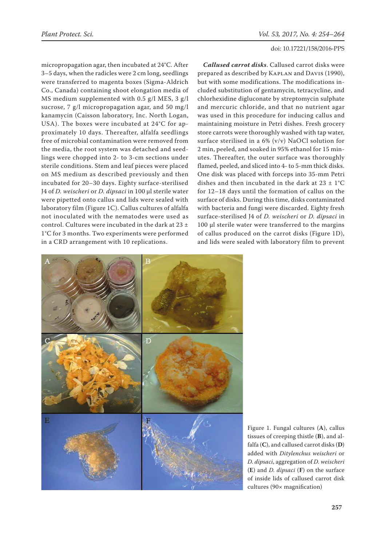micropropagation agar, then incubated at 24°C. After 3–5 days, when the radicles were 2 cm long, seedlings were transferred to magenta boxes (Sigma-Aldrich Co., Canada) containing shoot elongation media of MS medium supplemented with 0.5 g/l MES, 3 g/l sucrose, 7 g/l micropropagation agar, and 50 mg/l kanamycin (Caisson laboratory, Inc. North Logan, USA). The boxes were incubated at 24°C for approximately 10 days. Thereafter, alfalfa seedlings free of microbial contamination were removed from the media, the root system was detached and seedlings were chopped into 2- to 3-cm sections under sterile conditions. Stem and leaf pieces were placed on MS medium as described previously and then incubated for 20–30 days. Eighty surface-sterilised J4 of *D. weischeri* or *D. dipsaci* in 100 µl sterile water were pipetted onto callus and lids were sealed with laboratory film (Figure 1C). Callus cultures of alfalfa not inoculated with the nematodes were used as control. Cultures were incubated in the dark at  $23 \pm$ 1°C for 3 months. Two experiments were performed in a CRD arrangement with 10 replications.

*Callused carrot disks*. Callused carrot disks were prepared as described by KAPLAN and DAVIS (1990), but with some modifications. The modifications included substitution of gentamycin, tetracycline, and chlorhexidine digluconate by streptomycin sulphate and mercuric chloride, and that no nutrient agar was used in this procedure for inducing callus and maintaining moisture in Petri dishes. Fresh grocery store carrots were thoroughly washed with tap water, surface sterilised in a 6% (v/v) NaOCl solution for 2 min, peeled, and soaked in 95% ethanol for 15 minutes. Thereafter, the outer surface was thoroughly flamed, peeled, and sliced into 4- to 5-mm thick disks. One disk was placed with forceps into 35-mm Petri dishes and then incubated in the dark at  $23 \pm 1^{\circ}$ C for 12–18 days until the formation of callus on the surface of disks. During this time, disks contaminated with bacteria and fungi were discarded. Eighty fresh surface-sterilised J4 of *D. weischeri* or *D. dipsaci* in 100 µl sterile water were transferred to the margins of callus produced on the carrot disks (Figure 1D), and lids were sealed with laboratory film to prevent



Figure 1. Fungal cultures (**A**), callus tissues of creeping thistle (**B**), and alfalfa (**C**), and callused carrot disks (**D**) added with *Ditylenchus weischeri* or *D. dipsaci*, aggregation of *D. weischeri* (**E**) and *D. dipsaci* (**F**) on the surface of inside lids of callused carrot disk cultures (90× magnification)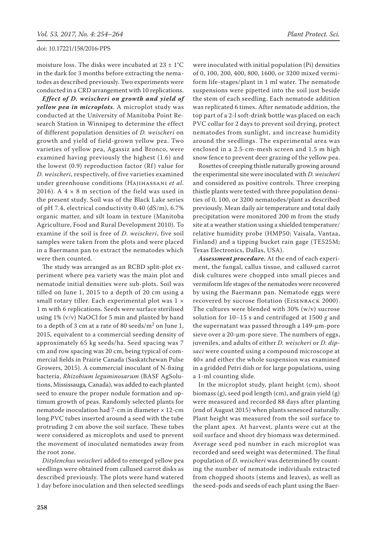moisture loss. The disks were incubated at  $23 \pm 1^{\circ}$ C in the dark for 3 months before extracting the nematodes as described previously. Two experiments were conducted in a CRD arrangement with 10 replications.

*Effect of D. weischeri on growth and yield of yellow pea in microplots*. A microplot study was conducted at the University of Manitoba Point Research Station in Winnipeg to determine the effect of different population densities of *D. weischeri* on growth and yield of field-grown yellow pea. Two varieties of yellow pea, Agassiz and Bronco, were examined having previously the highest (1.6) and the lowest  $(0.9)$  reproduction factor  $(Rf)$  value for *D. weischeri*, respectively, of five varieties examined under greenhouse conditions (Hajihassani *et al*. 2016). A  $4 \times 8$  m section of the field was used in the present study. Soil was of the Black Lake series of pH 7.4, electrical conductivity 0.40 (dS/m), 6.7% organic matter, and silt loam in texture (Manitoba Agriculture, Food and Rural Development 2010). To examine if the soil is free of *D. weischeri*, five soil samples were taken from the plots and were placed in a Baermann pan to extract the nematodes which were then counted.

The study was arranged as an RCBD split-plot experiment where pea variety was the main plot and nematode initial densities were sub-plots. Soil was tilled on June 1, 2015 to a depth of 20 cm using a small rotary tiller. Each experimental plot was 1 × 1 m with 6 replications. Seeds were surface sterilised using 1% (v/v) NaOCl for 5 min and planted by hand to a depth of 3 cm at a rate of 80 seeds/ $m^2$  on June 1, 2015, equivalent to a commercial seeding density of approximately 65 kg seeds/ha. Seed spacing was 7 cm and row spacing was 20 cm, being typical of commercial fields in Prairie Canada (Saskatchewan Pulse Growers, 2015). A commercial inoculant of N-fixing bacteria, *Rhizobium leguminosarum* (BASF AgSolutions, Mississauga*,* Canada), was added to each planted seed to ensure the proper nodule formation and optimum growth of peas. Randomly selected plants for nematode inoculation had 7-cm in diameter × 12-cm long PVC tubes inserted around a seed with the tube protruding 2 cm above the soil surface. These tubes were considered as microplots and used to prevent the movement of inoculated nematodes away from the root zone.

*Ditylenchus weischeri* added to emerged yellow pea seedlings were obtained from callused carrot disks as described previously. The plots were hand watered 1 day before inoculation and then selected seedlings were inoculated with initial population (Pi) densities of 0, 100, 200, 400, 800, 1600, or 3200 mixed vermiform life-stages/plant in 1 ml water. The nematode suspensions were pipetted into the soil just beside the stem of each seedling. Each nematode addition was replicated 6 times. After nematode addition, the top part of a 2-l soft-drink bottle was placed on each PVC collar for 2 days to prevent soil drying, protect nematodes from sunlight, and increase humidity around the seedlings. The experimental area was enclosed in a 2.5-cm-mesh screen and 1.5 m high snow fence to prevent deer grazing of the yellow pea.

Rosettes of creeping thistle naturally growing around the experimental site were inoculated with *D. weischeri* and considered as positive controls. Three creeping thistle plants were tested with three population densities of 0, 100, or 3200 nematodes/plant as described previously. Mean daily air temperature and total daily precipitation were monitored 200 m from the study site at a weather station using a shielded temperature/ relative humidity probe (HMP50; Vaisala, Vantaa, Finland) and a tipping bucket rain gage (TE525M; Texas Electronics, Dallas, USA).

*Assessment procedure.* At the end of each experiment, the fungal, callus tissue, and callused carrot disk cultures were chopped into small pieces and vermiform life stages of the nematodes were recovered by using the Baermann pan. Nematode eggs were recovered by sucrose flotation (EISENBACK 2000). The cultures were blended with 30% (w/v) sucrose solution for 10–15 s and centrifuged at 1500 *g* and the supernatant was passed through a 149-µm-pore sieve over a 20-µm-pore sieve. The numbers of eggs, juveniles, and adults of either *D. weischeri* or *D. dipsaci* were counted using a compound microscope at 40× and either the whole suspension was examined in a gridded Petri dish or for large populations, using a 1-ml counting slide.

In the microplot study, plant height (cm), shoot biomass (g), seed pod length (cm), and grain yield (g) were measured and recorded 88 days after planting (end of August 2015) when plants senesced naturally. Plant height was measured from the soil surface to the plant apex. At harvest, plants were cut at the soil surface and shoot dry biomass was determined. Average seed pod number in each microplot was recorded and seed weight was determined. The final population of *D. weischeri* was determined by counting the number of nematode individuals extracted from chopped shoots (stems and leaves), as well as the seed-pods and seeds of each plant using the Baer-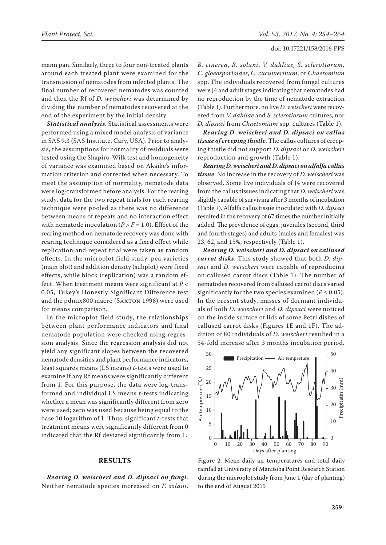mann pan. Similarly, three to four non-treated plants around each treated plant were examined for the transmission of nematodes from infected plants. The final number of recovered nematodes was counted and then the Rf of *D. weischeri* was determined by dividing the number of nematodes recovered at the end of the experiment by the initial density.

*Statistical analysis*. Statistical assessments were performed using a mixed model analysis of variance in SAS 9.3 (SAS Institute, Cary, USA). Prior to analysis, the assumptions for normality of residuals were tested using the Shapiro-Wilk test and homogeneity of variance was examined based on Akaike's information criterion and corrected when necessary. To meet the assumption of normality, nematode data were log-transformed before analysis. For the rearing study, data for the two repeat trials for each rearing technique were pooled as there was no difference between means of repeats and no interaction effect with nematode inoculation  $(P > F = 1.0)$ . Effect of the rearing method on nematode recovery was done with rearing technique considered as a fixed effect while replication and repeat trial were taken as random effects. In the microplot field study, pea varieties (main plot) and addition density (subplot) were fixed effects, while block (replication) was a random effect. When treatment means were significant at *P* < 0.05, Tukey's Honestly Significant Difference test and the pdmix800 macro (SAXTON 1998) were used for means comparison.

In the microplot field study, the relationships between plant performance indicators and final nematode population were checked using regression analysis. Since the regression analysis did not yield any significant slopes between the recovered nematode densities and plant performance indicators, least squares means (LS means) *t*-tests were used to examine if any Rf means were significantly different from 1. For this purpose, the data were log-transformed and individual LS means *t*-tests indicating whether a mean was significantly different from zero were used; zero was used because being equal to the base 10 logarithm of 1. Thus, significant *t*-tests that treatment means were significantly different from 0 indicated that the Rf deviated significantly from 1.

### **RESULTS**

*Rearing D. weischeri and D. dipsaci on fungi*. Neither nematode species increased on *F. solani,*

*B. cinerea*, *R. solani*, *V. dahliae, S. sclerotiorum, C. gloeosporioides*, *C. cucumerinum*, or *Chaetomium* spp. The individuals recovered from fungal cultures were J4 and adult stages indicating that nematodes had no reproduction by the time of nematode extraction (Table 1). Furthermore, no live *D. weischeri* were recovered from *V. dahliae* and *S. sclerotiorum* cultures*,* nor *D. dipsaci* from *Chaetomium* spp. cultures (Table 1).

*Rearing D. weischeri and D. dipsaci on callus tissue of creeping thistle*. The callus cultures of creeping thistle did not support *D. dipsaci* or *D. weischeri* reproduction and growth (Table 1).

*Rearing D. weischeri and D. dipsaci on alfalfa callus tissue*. No increase in the recovery of *D. weischeri* was observed. Some live individuals of J4 were recovered from the callus tissues indicating that *D. weischeri* was slightly capable of surviving after 3 months of incubation (Table 1). Alfalfa callus tissue inoculated with *D. dipsaci* resulted in the recovery of 67 times the number initially added. The prevalence of eggs, juveniles (second, third and fourth stages) and adults (males and females) was 23, 62, and 15%, respectively (Table 1).

*Rearing D. weischeri and D. dipsaci on callused carrot disks*. This study showed that both *D. dipsaci* and *D. weischeri* were capable of reproducing on callused carrot discs (Table 1). The number of nematodes recovered from callused carrot discs varied significantly for the two species examined ( $P \le 0.05$ ). In the present study, masses of dormant individuals of both *D. weischeri* and *D. dipsaci* were noticed on the inside surface of lids of some Petri dishes of callused carrot disks (Figures 1E and 1F). The addition of 80 individuals of *D. weischeri* resulted in a 54-fold increase after 3 months incubation period.



Figure 2. Mean daily air temperatures and total daily rainfall at University of Manitoba Point Research Station during the microplot study from June 1 (day of planting) to the end of August 2015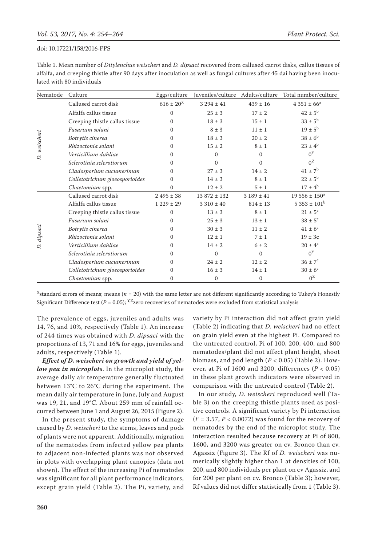| Table 1. Mean number of <i>Ditylenchus weischeri</i> and <i>D. dipsaci</i> recovered from callused carrot disks, callus tissues of |
|------------------------------------------------------------------------------------------------------------------------------------|
| alfalfa, and creeping thistle after 90 days after inoculation as well as fungal cultures after 45 dai having been inocu-           |
| lated with 80 individuals                                                                                                          |

| Nematode     | Culture                        | Juveniles/culture Adults/culture Total number/culture<br>Eggs/culture |                  |               |                           |
|--------------|--------------------------------|-----------------------------------------------------------------------|------------------|---------------|---------------------------|
| D. weischeri | Callused carrot disk           | $616 \pm 20^{x}$                                                      | $3294 \pm 41$    | $439 \pm 16$  | $4\,351 \pm 66^a$         |
|              | Alfalfa callus tissue          | $\mathbf{0}$                                                          | $25 \pm 3$       | $17 \pm 2$    | $42 \pm 5^{\rm b}$        |
|              | Creeping thistle callus tissue | $\Omega$                                                              | $18 \pm 3$       | $15 \pm 1$    | $33 \pm 5^{\rm b}$        |
|              | Fusarium solani                | $\Omega$                                                              | $8 \pm 3$        | $11 \pm 1$    | $19 \pm 5^{\rm b}$        |
|              | Botrytis cinerea               | $\mathbf{0}$                                                          | $18 \pm 3$       | $20 \pm 2$    | $38 \pm 6^{\rm b}$        |
|              | Rhizoctonia solani             | $\Omega$                                                              | $15 \pm 2$       | $8 \pm 1$     | $23 \pm 4^{\rm b}$        |
|              | Verticillium dahliae           | $\Omega$                                                              | $\mathbf{0}$     | $\Omega$      | $0^{\rm Y}$               |
|              | Sclerotinia sclerotiorum       | $\Omega$                                                              | $\mathbf{0}$     | $\Omega$      | $0^Z$                     |
|              | Cladosporium cucumerinum       | $\Omega$                                                              | $27 \pm 3$       | $14 \pm 2$    | $41 \pm 7^{\rm b}$        |
|              | Colletotrichum gloeosporioides | $\Omega$                                                              | $14 \pm 3$       | $8 \pm 1$     | $22 \pm 5^{\rm b}$        |
|              | Chaetomium spp.                | $\mathbf{0}$                                                          | $12 \pm 2$       | $5 \pm 1$     | $17 \pm 4^{\rm b}$        |
|              | Callused carrot disk           | $2495 \pm 38$                                                         | $13872 \pm 132$  | $3189 \pm 41$ | 19 556 ± 150 <sup>a</sup> |
|              | Alfalfa callus tissue          | $1229 \pm 29$                                                         | $3310 \pm 40$    | $814 \pm 13$  | $5.353 \pm 101^b$         |
| D. dipsaci   | Creeping thistle callus tissue | $\mathbf{0}$                                                          | $13 \pm 3$       | $8 \pm 1$     | $21 \pm 5^{\circ}$        |
|              | Fusarium solani                | $\Omega$                                                              | $25 \pm 3$       | $13 \pm 1$    | $38 \pm 5^{\circ}$        |
|              | Botrytis cinerea               | $\mathbf{0}$                                                          | $30 \pm 3$       | $11 \pm 2$    | $41 \pm 6^{\circ}$        |
|              | Rhizoctonia solani             | $\Omega$                                                              | $12 \pm 1$       | $7 \pm 1$     | $19 \pm 3c$               |
|              | Verticillium dahliae           | $\Omega$                                                              | $14 \pm 2$       | $6 \pm 2$     | $20 \pm 4^c$              |
|              | Sclerotinia sclerotiorum       | $\Omega$                                                              | $\mathbf{0}$     | $\mathbf{0}$  | $0^{\rm Y}$               |
|              | Cladosporium cucumerinum       | $\Omega$                                                              | $24 \pm 2$       | $12 \pm 2$    | $36 \pm 7^{\circ}$        |
|              | Colletotrichum gloeosporioides | $\mathbf{0}$                                                          | $16 \pm 3$       | $14 \pm 1$    | $30 \pm 6^{\circ}$        |
|              | Chaetomium spp.                | 0                                                                     | $\boldsymbol{0}$ | $\mathbf{0}$  | $0^{\rm Z}$               |

 $X$ standard errors of means; means ( $n = 20$ ) with the same letter are not different significantly according to Tukey's Honestly Significant Difference test ( $P = 0.05$ ); <sup>Y,Z</sup>zero recoveries of nematodes were excluded from statistical analysis

The prevalence of eggs, juveniles and adults was 14, 76, and 10%, respectively (Table 1). An increase of 244 times was obtained with *D. dipsaci* with the proportions of 13, 71 and 16% for eggs, juveniles and adults, respectively (Table 1).

*Effect of D. weischeri on growth and yield of yellow pea in microplots*. In the microplot study, the average daily air temperature generally fluctuated between 13°C to 26°C during the experiment. The mean daily air temperature in June, July and August was 19, 21, and 19°C. About 259 mm of rainfall occurred between June 1 and August 26, 2015 (Figure 2).

In the present study, the symptoms of damage caused by *D. weischeri* to the stems, leaves and pods of plants were not apparent. Additionally, migration of the nematodes from infected yellow pea plants to adjacent non-infected plants was not observed in plots with overlapping plant canopies (data not shown). The effect of the increasing Pi of nematodes was significant for all plant performance indicators, except grain yield (Table 2). The Pi, variety, and variety by Pi interaction did not affect grain yield (Table 2) indicating that *D. weischeri* had no effect on grain yield even at the highest Pi. Compared to the untreated control, Pi of 100, 200, 400, and 800 nematodes/plant did not affect plant height, shoot biomass, and pod length  $(P < 0.05)$  (Table 2). However, at Pi of 1600 and 3200, differences (*P* < 0.05) in these plant growth indicators were observed in comparison with the untreated control (Table 2).

In our study, *D. weischeri* reproduced well (Table 3) on the creeping thistle plants used as positive controls. A significant variety by Pi interaction  $(F = 3.57, P < 0.0072)$  was found for the recovery of nematodes by the end of the microplot study. The interaction resulted because recovery at Pi of 800, 1600, and 3200 was greater on cv. Bronco than cv. Agassiz (Figure 3). The Rf of *D. weischeri* was numerically slightly higher than 1 at densities of 100, 200, and 800 individuals per plant on cv Agassiz, and for 200 per plant on cv. Bronco (Table 3); however, Rf values did not differ statistically from 1 (Table 3).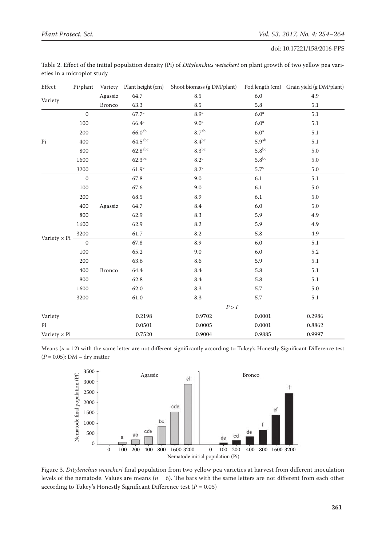| Effect              | Pi/plant         | Variety | Plant height (cm) | Shoot biomass (g DM/plant) |                   | Pod length (cm) Grain yield (g DM/plant) |
|---------------------|------------------|---------|-------------------|----------------------------|-------------------|------------------------------------------|
| Variety             |                  | Agassiz | 64.7              | 8.5                        | 6.0               | 4.9                                      |
|                     |                  | Bronco  | 63.3              | $\ \, 8.5$                 | 5.8               | $5.1\,$                                  |
| Pi                  | $\mathbf{0}$     |         | $67.7^{\rm a}$    | 8.9 <sup>a</sup>           | 6.0 <sup>a</sup>  | 5.1                                      |
|                     | 100              |         | $66.4^{\rm a}$    | 9.0 <sup>a</sup>           | 6.0 <sup>a</sup>  | $5.1\,$                                  |
|                     | 200              |         | $66.0^{ab}$       | 8.7 <sup>ab</sup>          | 6.0 <sup>a</sup>  | $5.1\,$                                  |
|                     | 400              |         | $64.5$ abc        | $8.4^{bc}$                 | 5.9 <sup>ab</sup> | 5.1                                      |
|                     | 800              |         | $62.8$ abc        | $8.3^{bc}$                 | $5.8^{bc}$        | $5.0\,$                                  |
|                     | 1600             |         | $62.3^{bc}$       | $8.2^{\circ}$              | $5.8^{bc}$        | 5.0                                      |
|                     | 3200             |         | 61.9 <sup>c</sup> | $8.2^{\circ}$              | 5.7 <sup>c</sup>  | 5.0                                      |
|                     | $\boldsymbol{0}$ |         | 67.8              | 9.0                        | 6.1               | $5.1\,$                                  |
|                     | 100              |         | 67.6              | 9.0                        | $6.1\,$           | $5.0\,$                                  |
|                     | 200              |         | 68.5              | 8.9                        | 6.1               | 5.0                                      |
|                     | 400              | Agassiz | 64.7              | $\ \, 8.4$                 | 6.0               | 5.0                                      |
|                     | 800              |         | 62.9              | 8.3                        | 5.9               | 4.9                                      |
|                     | 1600             |         | 62.9              | 8.2                        | 5.9               | 4.9                                      |
|                     | 3200             |         | 61.7              | 8.2                        | 5.8               | 4.9                                      |
| Variety $\times$ Pi | $\mathbf{0}$     |         | 67.8              | 8.9                        | 6.0               | $5.1\,$                                  |
|                     | 100              |         | 65.2              | 9.0                        | 6.0               | 5.2                                      |
|                     | 200              |         | 63.6              | 8.6                        | 5.9               | 5.1                                      |
|                     | 400              | Bronco  | 64.4              | $\ \, 8.4$                 | 5.8               | $5.1\,$                                  |
|                     | 800              |         | 62.8              | $\ \, 8.4$                 | 5.8               | $5.1\,$                                  |
|                     | 1600             |         | 62.0              | 8.3                        | 5.7               | 5.0                                      |
|                     | 3200             |         | 61.0              | 8.3                        | $5.7\,$           | $5.1\,$                                  |
|                     |                  |         |                   | P > F                      |                   |                                          |
| Variety             |                  |         | 0.2198            | 0.9702                     | 0.0001            | 0.2986                                   |
| Pi                  |                  |         | 0.0501            | 0.0005                     | 0.0001            | 0.8862                                   |
| Variety $\times$ Pi |                  |         | 0.7520            | 0.9004                     | 0.9885            | 0.9997                                   |

Table 2. Effect of the initial population density (Pi) of *Ditylenchus weischeri* on plant growth of two yellow pea varieties in a microplot study

Means ( $n = 12$ ) with the same letter are not different significantly according to Tukey's Honestly Significant Difference test (*P* = 0.05); DM – dry matter



Figure 3. *Ditylenchus weischeri* final population from two yellow pea varieties at harvest from different inoculation levels of the nematode. Values are means  $(n = 6)$ . The bars with the same letters are not different from each other according to Tukey's Honestly Significant Difference test ( $P = 0.05$ )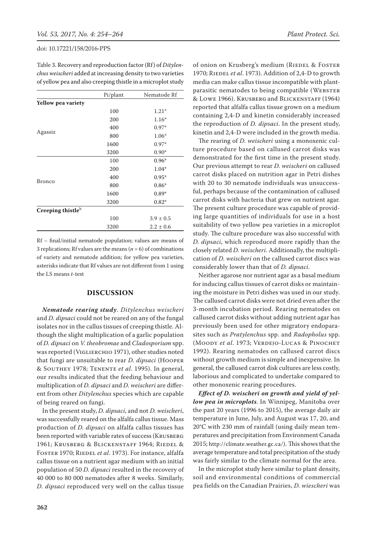Table 3. Recovery and reproduction factor (Rf) of *Ditylenchus weischeri* added at increasing density to two varieties of yellow pea and also creeping thistle in a microplot study

|                               | Pi/plant | Nematode Rf   |
|-------------------------------|----------|---------------|
| Yellow pea variety            |          |               |
|                               | 100      | $1.21*$       |
|                               | 200      | $1.16*$       |
|                               | 400      | $0.97*$       |
| Agassiz                       | 800      | $1.06*$       |
|                               | 1600     | $0.97*$       |
|                               | 3200     | $0.90*$       |
|                               | 100      | $0.96*$       |
|                               | 200      | $1.04*$       |
|                               | 400      | $0.95*$       |
| <b>Bronco</b>                 | 800      | $0.86*$       |
|                               | 1600     | $0.89*$       |
|                               | 3200     | $0.82*$       |
| Creeping thistle <sup>b</sup> |          |               |
|                               | 100      | $3.9 \pm 0.5$ |
|                               | 3200     | $2.2 \pm 0.6$ |

Rf – final/initial nematode population; values are means of 3 replications; Rf values are the means ( $n = 6$ ) of combinations of variety and nematode addition; for yellow pea varieties, asterisks indicate that Rf values are not different from 1 using the LS means *t*-test

## **DISCUSSION**

*Nematode rearing study*. *Ditylenchus weischeri*  and *D. dipsaci* could not be reared on any of the fungal isolates nor in the callus tissues of creeping thistle. Although the slight multiplication of a garlic population of *D. dipsaci* on *V. theobromae* and *Cladosporium* spp. was reported (VIGLIERCHIO 1971), other studies noted that fungi are unsuitable to rear *D. dipsaci* (Hooper & Southey 1978; Tenente *et al*. 1995). In general, our results indicated that the feeding behaviour and multiplication of *D. dipsaci* and *D. weischeri* are different from other *Ditylenchus* species which are capable of being reared on fungi.

In the present study, *D. dipsaci*, and not *D. weischeri*, was successfully reared on the alfalfa callus tissue. Mass production of *D. dipsaci* on alfalfa callus tissues has been reported with variable rates of success (KRUSBERG 1961; Krusberg & Blickenstaff 1964; Riedel & FOSTER 1970; RIEDEL *et al.* 1973). For instance, alfalfa callus tissue on a nutrient agar medium with an initial population of 50 *D. dipsaci* resulted in the recovery of 40 000 to 80 000 nematodes after 8 weeks. Similarly, *D. dipsaci* reproduced very well on the callus tissue

of onion on Krusberg's medium (RIEDEL & FOSTER 1970; RIEDEL et al. 1973). Addition of 2,4-D to growth media can make callus tissue incompatible with plantparasitic nematodes to being compatible (WEBSTER & Lowe 1966). Krusberg and Blickenstaff (1964) reported that alfalfa callus tissue grown on a medium containing 2,4-D and kinetin considerably increased the reproduction of *D. dipsaci*. In the present study, kinetin and 2,4-D were included in the growth media.

The rearing of *D. weischeri* using a monoxenic culture procedure based on callused carrot disks was demonstrated for the first time in the present study. Our previous attempt to rear *D. weischeri* on callused carrot disks placed on nutrition agar in Petri dishes with 20 to 30 nematode individuals was unsuccessful, perhaps because of the contamination of callused carrot disks with bacteria that grew on nutrient agar. The present culture procedure was capable of providing large quantities of individuals for use in a host suitability of two yellow pea varieties in a microplot study. The culture procedure was also successful with *D. dipsaci*, which reproduced more rapidly than the closely related *D. weischeri*. Additionally, the multiplication of *D. weischeri* on the callused carrot discs was considerably lower than that of *D. dipsaci*.

Neither agarose nor nutrient agar as a basal medium for inducing callus tissues of carrot disks or maintaining the moisture in Petri dishes was used in our study. The callused carrot disks were not dried even after the 3-month incubation period. Rearing nematodes on callused carrot disks without adding nutrient agar has previously been used for other migratory endoparasites such as *Pratylenchus* spp. and *Radopholus* spp. (Moody *et al*. 1973; Verdejo-Lucas & Pinochet 1992). Rearing nematodes on callused carrot discs without growth medium is simple and inexpensive. In general, the callused carrot disk cultures are less costly, laborious and complicated to undertake compared to other monoxenic rearing procedures.

*Effect of D. weischeri on growth and yield of yellow pea in microplots*. In Winnipeg, Manitoba over the past 20 years (1996 to 2015), the average daily air temperature in June, July, and August was 17, 20, and 20°C with 230 mm of rainfall (using daily mean temperatures and precipitation from Environment Canada 2015; http://climate.weather.gc.ca/). This shows that the average temperature and total precipitation of the study was fairly similar to the climate normal for the area.

In the microplot study here similar to plant density, soil and environmental conditions of commercial pea fields on the Canadian Prairies, *D. wiescheri* was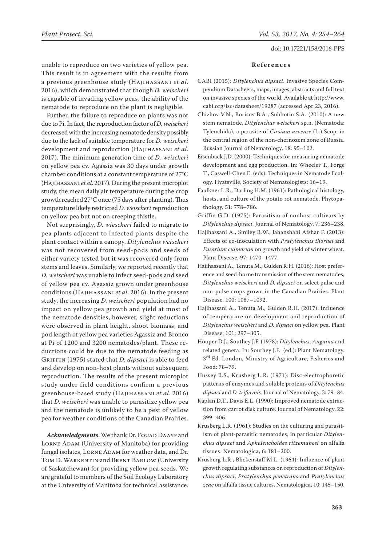unable to reproduce on two varieties of yellow pea. This result is in agreement with the results from a previous greenhouse study (Hajihassani *et al*. 2016), which demonstrated that though *D. weischeri*  is capable of invading yellow peas, the ability of the nematode to reproduce on the plant is negligible.

Further, the failure to reproduce on plants was not due to Pi. In fact, the reproduction factor of *D. weischeri*  decreased with the increasing nematode density possibly due to the lack of suitable temperature for *D. weischeri* development and reproduction (Hajihassani *et al*. 2017). The minimum generation time of *D. weischeri* on yellow pea cv. Agassiz was 30 days under growth chamber conditions at a constant temperature of 27°C (Hajihassani *et al*. 2017). During the present microplot study, the mean daily air temperature during the crop growth reached 27°C once (75 days after planting). Thus temperature likely restricted *D. weischeri* reproduction on yellow pea but not on creeping thistle.

Not surprisingly, *D. wiescheri* failed to migrate to pea plants adjacent to infected plants despite the plant contact within a canopy. *Ditylenchus weischeri* was not recovered from seed-pods and seeds of either variety tested but it was recovered only from stems and leaves. Similarly, we reported recently that *D. weischeri* was unable to infect seed-pods and seed of yellow pea cv. Agassiz grown under greenhouse conditions (Hajihassani *et al*. 2016). In the present study, the increasing *D. weischeri* population had no impact on yellow pea growth and yield at most of the nematode densities, however, slight reductions were observed in plant height, shoot biomass, and pod length of yellow pea varieties Agassiz and Bronco at Pi of 1200 and 3200 nematodes/plant. These reductions could be due to the nematode feeding as Griffin (1975) stated that *D. dipsaci* is able to feed and develop on non-host plants without subsequent reproduction. The results of the present microplot study under field conditions confirm a previous greenhouse-based study (Hajihassani *et al*. 2016) that *D. weischeri* was unable to parasitize yellow pea and the nematode is unlikely to be a pest of yellow pea for weather conditions of the Canadian Prairies.

Acknowledgments. We thank Dr. FOUAD DAAYF and LORNE ADAM (University of Manitoba) for providing fungal isolates, LORNE ADAM for weather data, and Dr. TOM D. WARKENTIN and BRENT BARLOW (University of Saskatchewan) for providing yellow pea seeds. We are grateful to members of the Soil Ecology Laboratory at the University of Manitoba for technical assistance.

### **References**

- CABI (2015): *Ditylenchus dipsaci*. Invasive Species Compendium Datasheets, maps, images, abstracts and full text on invasive species of the world. Available at http://www. cabi.org/isc/datasheet/19287 (accessed Apr 23, 2016).
- Chizhov V.N., Borisov B.A., Subbotin S.A. (2010): A new stem nematode, *Ditylenchus weischeri* sp.n. (Nematoda: Tylenchida), a parasite of *Cirsium arvense* (L.) Scop. in the central region of the non-chernozem zone of Russia. Russian Journal of Nematology, 18: 95–102.
- Eisenback J.D. (2000): Techniques for measuring nematode development and egg production. In: Wheeler T., Forge T., Caswell-Chen E. (eds): Techniques in Nematode Ecology. Hyatsville, Society of Nematologists: 16–19.
- Faulkner L.R., Darling H.M. (1961): Pathological histology, hosts, and culture of the potato rot nematode. Phytopathology, 51: 778–786.
- Griffin G.D. (1975): Parasitism of nonhost cultivars by *Ditylenchus dipsaci*. Journal of Nematology, 7: 236–238.
- Hajihassani A., Smiley R.W., Jahanshahi Afshar F. (2013): Effects of co-inoculation with *Pratylenchus thornei* and *Fusarium culmorum* on growth and yield of winter wheat. Plant Disease, 97: 1470–1477.
- Hajihassani A., Tenuta M., Gulden R.H. (2016): Host preference and seed-borne transmission of the stem nematodes, *Ditylenchus weischeri* and *D. dipsaci* on select pulse and non-pulse crops grown in the Canadian Prairies. Plant Disease, 100: 1087–1092.
- Hajihassani A., Tenuta M., Gulden R.H. (2017): Influence of temperature on development and reproduction of *Ditylenchus weischeri* and *D. dipsaci* on yellow pea. Plant Disease, 101: 297–305.
- Hooper D.J., Southey J.F. (1978): *Ditylenchus*, *Anguina* and related genera. In: Southey J.F. (ed.): Plant Nematology. 3<sup>rd</sup> Ed. London, Ministry of Agriculture, Fisheries and Food: 78–79.
- Hussey R.S., Krusberg L.R. (1971): Disc-electrophoretic patterns of enzymes and soluble proteins of *Ditylenchus dipsaci* and *D. triformis*. Journal of Nematology, 3: 79–84.
- Kaplan D.T., Davis E.L. (1990): Improved nematode extraction from carrot disk culture. Journal of Nematology, 22: 399–406.
- Krusberg L.R. (1961): Studies on the culturing and parasitism of plant-parasitic nematodes, in particular *Ditylenchus dipsaci* and *ApheIenchoides ritzemabosi* on alfalfa tissues. Nematologica, 6: 181–200.
- Krusberg L.R., Blickenstaff M.L. (1964): Influence of plant growth regulating substances on reproduction of *Ditylenchus dipsaci*, *Pratylenchus penetrans* and *Pratylenchus zeae* on alfalfa tissue cultures. Nematologica, 10: 145–150.